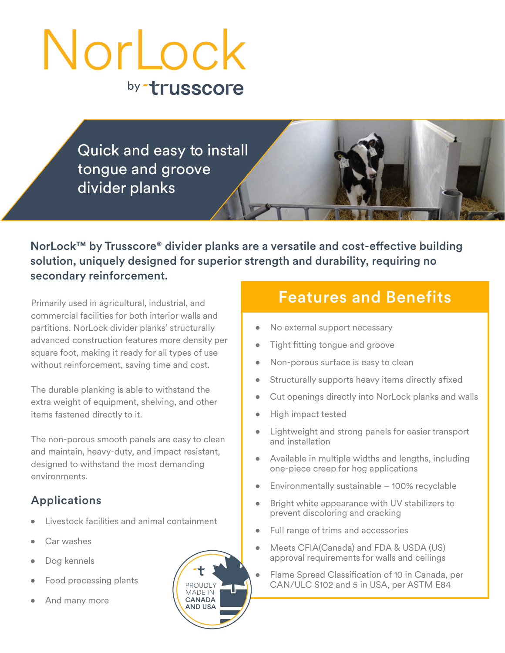# NorLock by **trusscore**

Quick and easy to install tongue and groove divider planks

NorLock™ by Trusscore® divider planks are a versatile and cost-effective building solution, uniquely designed for superior strength and durability, requiring no secondary reinforcement.

Primarily used in agricultural, industrial, and commercial facilities for both interior walls and partitions. NorLock divider planks' structurally advanced construction features more density per square foot, making it ready for all types of use without reinforcement, saving time and cost.

The durable planking is able to withstand the extra weight of equipment, shelving, and other items fastened directly to it.

The non-porous smooth panels are easy to clean and maintain, heavy-duty, and impact resistant, designed to withstand the most demanding environments.

## Applications

- Livestock facilities and animal containment
- Car washes
- Dog kennels
- Food processing plants
- And many more



## Features and Benefits

- No external support necessary
- Tight fitting tongue and groove
- Non-porous surface is easy to clean
- Structurally supports heavy items directly afixed
- Cut openings directly into NorLock planks and walls
- High impact tested
- Lightweight and strong panels for easier transport and installation
- Available in multiple widths and lengths, including one-piece creep for hog applications
- Environmentally sustainable 100% recyclable
- Bright white appearance with UV stabilizers to prevent discoloring and cracking
- Full range of trims and accessories
- Meets CFIA(Canada) and FDA & USDA (US) approval requirements for walls and ceilings
- Flame Spread Classification of 10 in Canada, per CAN/ULC S102 and 5 in USA, per ASTM E84